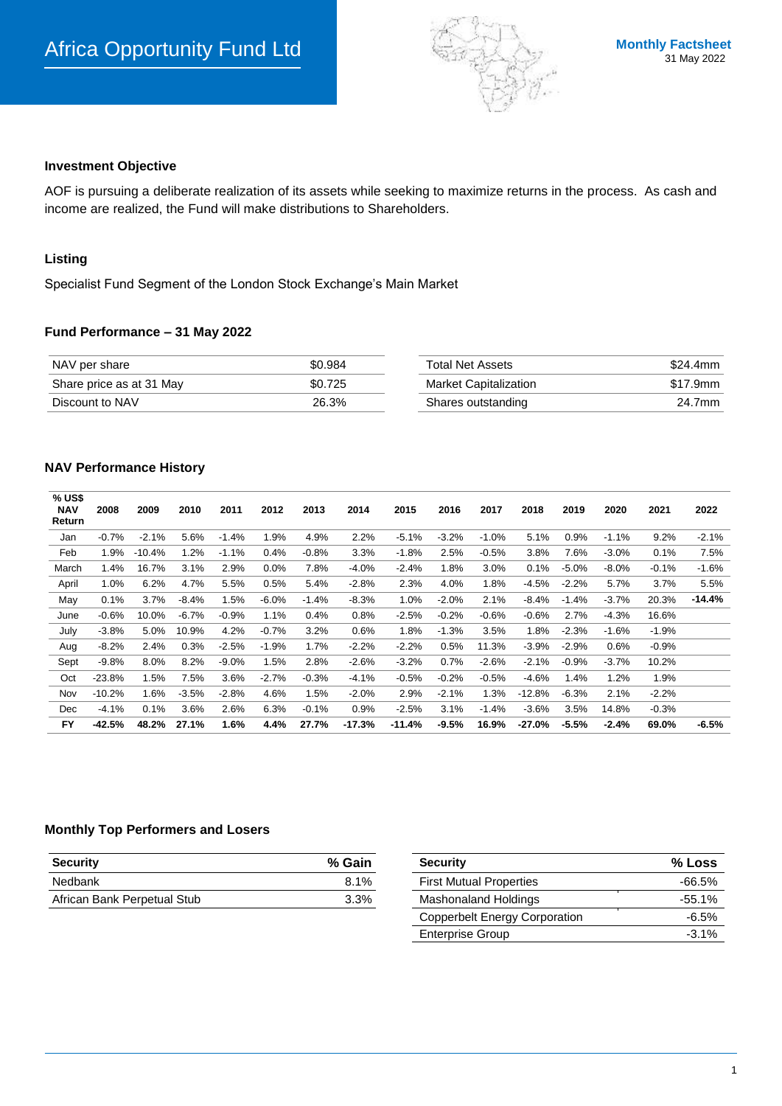

#### **Investment Objective**

AOF is pursuing a deliberate realization of its assets while seeking to maximize returns in the process. As cash and income are realized, the Fund will make distributions to Shareholders.

# **Listing**

Specialist Fund Segment of the London Stock Exchange's Main Market

### **Fund Performance – 31 May 2022**

| NAV per share            | \$0.984 | Total Net Assets             | \$24.4mm |  |
|--------------------------|---------|------------------------------|----------|--|
| Share price as at 31 May | \$0.725 | <b>Market Capitalization</b> | \$17.9mm |  |
| Discount to NAV          | 26.3%   | Shares outstanding           | 24.7mm   |  |

#### **NAV Performance History**

| % US\$<br><b>NAV</b><br>Return | 2008     | 2009     | 2010    | 2011    | 2012    | 2013    | 2014     | 2015     | 2016    | 2017    | 2018     | 2019    | 2020    | 2021    | 2022     |
|--------------------------------|----------|----------|---------|---------|---------|---------|----------|----------|---------|---------|----------|---------|---------|---------|----------|
| Jan                            | $-0.7%$  | $-2.1%$  | 5.6%    | $-1.4%$ | 1.9%    | 4.9%    | 2.2%     | $-5.1%$  | $-3.2%$ | $-1.0%$ | 5.1%     | 0.9%    | $-1.1%$ | 9.2%    | $-2.1%$  |
| Feb                            | 1.9%     | $-10.4%$ | 1.2%    | $-1.1%$ | $0.4\%$ | $-0.8%$ | 3.3%     | $-1.8%$  | 2.5%    | $-0.5%$ | 3.8%     | 7.6%    | $-3.0%$ | 0.1%    | 7.5%     |
| March                          | 1.4%     | 16.7%    | 3.1%    | 2.9%    | 0.0%    | 7.8%    | $-4.0%$  | $-2.4%$  | 1.8%    | 3.0%    | 0.1%     | $-5.0%$ | $-8.0%$ | $-0.1%$ | $-1.6%$  |
| April                          | 1.0%     | 6.2%     | 4.7%    | 5.5%    | 0.5%    | 5.4%    | $-2.8%$  | 2.3%     | 4.0%    | 1.8%    | $-4.5%$  | $-2.2%$ | 5.7%    | 3.7%    | 5.5%     |
| May                            | 0.1%     | 3.7%     | $-8.4%$ | 1.5%    | $-6.0%$ | $-1.4%$ | $-8.3%$  | 1.0%     | $-2.0%$ | 2.1%    | $-8.4%$  | $-1.4%$ | $-3.7%$ | 20.3%   | $-14.4%$ |
| June                           | $-0.6%$  | 10.0%    | $-6.7%$ | $-0.9%$ | 1.1%    | 0.4%    | 0.8%     | $-2.5%$  | $-0.2%$ | $-0.6%$ | $-0.6%$  | 2.7%    | $-4.3%$ | 16.6%   |          |
| July                           | $-3.8%$  | 5.0%     | 10.9%   | 4.2%    | $-0.7%$ | 3.2%    | 0.6%     | 1.8%     | $-1.3%$ | 3.5%    | 1.8%     | $-2.3%$ | $-1.6%$ | $-1.9%$ |          |
| Aug                            | $-8.2%$  | 2.4%     | 0.3%    | $-2.5%$ | $-1.9%$ | 1.7%    | $-2.2%$  | $-2.2%$  | 0.5%    | 11.3%   | $-3.9%$  | $-2.9%$ | 0.6%    | $-0.9%$ |          |
| Sept                           | $-9.8%$  | 8.0%     | 8.2%    | $-9.0%$ | 1.5%    | 2.8%    | $-2.6%$  | $-3.2%$  | 0.7%    | $-2.6%$ | $-2.1%$  | $-0.9%$ | $-3.7%$ | 10.2%   |          |
| Oct                            | $-23.8%$ | 1.5%     | 7.5%    | 3.6%    | $-2.7%$ | $-0.3%$ | $-4.1%$  | $-0.5%$  | $-0.2%$ | $-0.5%$ | $-4.6%$  | 1.4%    | 1.2%    | 1.9%    |          |
| Nov                            | $-10.2%$ | 1.6%     | $-3.5%$ | $-2.8%$ | 4.6%    | 1.5%    | $-2.0%$  | 2.9%     | $-2.1%$ | 1.3%    | $-12.8%$ | $-6.3%$ | 2.1%    | $-2.2%$ |          |
| Dec                            | $-4.1%$  | 0.1%     | 3.6%    | 2.6%    | 6.3%    | $-0.1%$ | 0.9%     | $-2.5%$  | 3.1%    | $-1.4%$ | $-3.6%$  | 3.5%    | 14.8%   | $-0.3%$ |          |
| <b>FY</b>                      | -42.5%   | 48.2%    | 27.1%   | 1.6%    | 4.4%    | 27.7%   | $-17.3%$ | $-11.4%$ | $-9.5%$ | 16.9%   | $-27.0%$ | $-5.5%$ | $-2.4%$ | 69.0%   | $-6.5%$  |

### **Monthly Top Performers and Losers**

| <b>Security</b>             | % Gain | <b>Security</b>                | % Loss   |  |
|-----------------------------|--------|--------------------------------|----------|--|
| Nedbank                     | 8.1%   | <b>First Mutual Properties</b> | -66.5%   |  |
| African Bank Perpetual Stub | 3.3%   | Mashonaland Holdings           | $-55.1%$ |  |

| <b>Security</b>                      | % Loss    |
|--------------------------------------|-----------|
| <b>First Mutual Properties</b>       | -66.5%    |
| <b>Mashonaland Holdings</b>          | $-55.1\%$ |
| <b>Copperbelt Energy Corporation</b> | $-6.5\%$  |
| <b>Enterprise Group</b>              | $-3.1\%$  |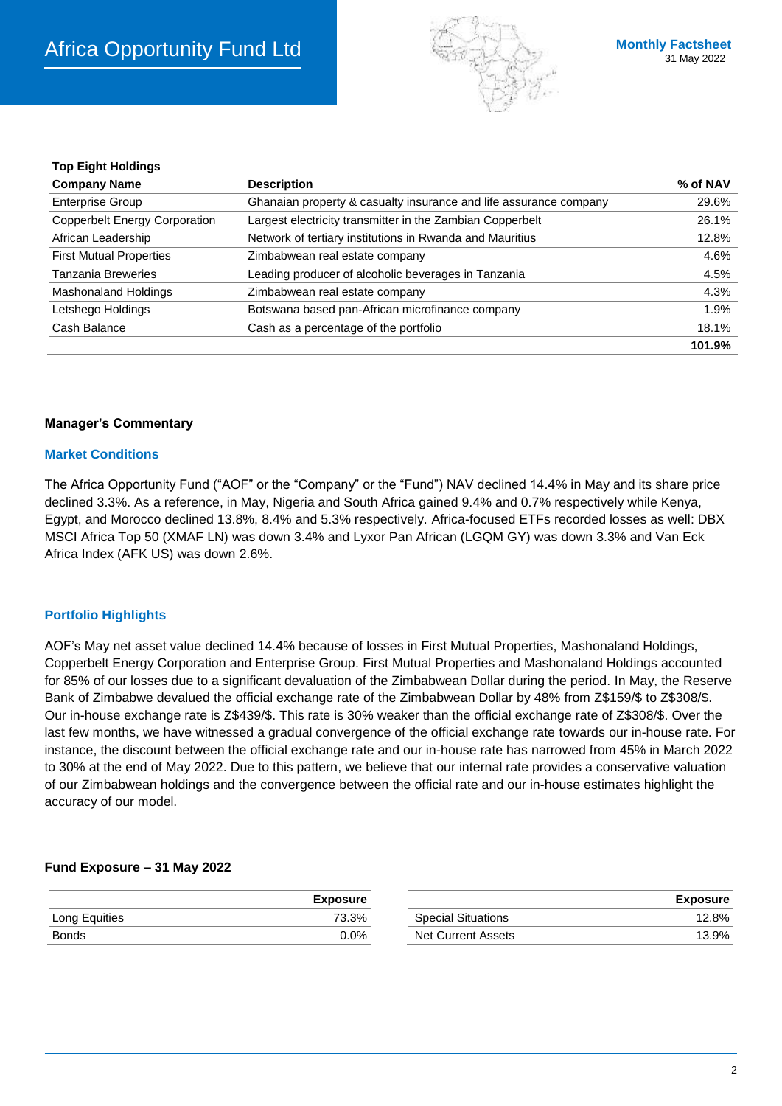

| TOD EIGHT HOIGHIGS                   |                                                                   |          |
|--------------------------------------|-------------------------------------------------------------------|----------|
| <b>Company Name</b>                  | <b>Description</b>                                                | % of NAV |
| <b>Enterprise Group</b>              | Ghanaian property & casualty insurance and life assurance company | 29.6%    |
| <b>Copperbelt Energy Corporation</b> | Largest electricity transmitter in the Zambian Copperbelt         | 26.1%    |
| African Leadership                   | Network of tertiary institutions in Rwanda and Mauritius          | 12.8%    |
| <b>First Mutual Properties</b>       | Zimbabwean real estate company                                    | 4.6%     |
| Tanzania Breweries                   | Leading producer of alcoholic beverages in Tanzania               | 4.5%     |
| Mashonaland Holdings                 | Zimbabwean real estate company                                    | 4.3%     |
| Letshego Holdings                    | Botswana based pan-African microfinance company                   | 1.9%     |
| Cash Balance                         | Cash as a percentage of the portfolio                             | 18.1%    |
|                                      |                                                                   | 101.9%   |

## **Manager's Commentary**

### **Market Conditions**

**Top Eight Holdings**

The Africa Opportunity Fund ("AOF" or the "Company" or the "Fund") NAV declined 14.4% in May and its share price declined 3.3%. As a reference, in May, Nigeria and South Africa gained 9.4% and 0.7% respectively while Kenya, Egypt, and Morocco declined 13.8%, 8.4% and 5.3% respectively. Africa-focused ETFs recorded losses as well: DBX MSCI Africa Top 50 (XMAF LN) was down 3.4% and Lyxor Pan African (LGQM GY) was down 3.3% and Van Eck Africa Index (AFK US) was down 2.6%.

### **Portfolio Highlights**

AOF's May net asset value declined 14.4% because of losses in First Mutual Properties, Mashonaland Holdings, Copperbelt Energy Corporation and Enterprise Group. First Mutual Properties and Mashonaland Holdings accounted for 85% of our losses due to a significant devaluation of the Zimbabwean Dollar during the period. In May, the Reserve Bank of Zimbabwe devalued the official exchange rate of the Zimbabwean Dollar by 48% from Z\$159/\$ to Z\$308/\$. Our in-house exchange rate is Z\$439/\$. This rate is 30% weaker than the official exchange rate of Z\$308/\$. Over the last few months, we have witnessed a gradual convergence of the official exchange rate towards our in-house rate. For instance, the discount between the official exchange rate and our in-house rate has narrowed from 45% in March 2022 to 30% at the end of May 2022. Due to this pattern, we believe that our internal rate provides a conservative valuation of our Zimbabwean holdings and the convergence between the official rate and our in-house estimates highlight the accuracy of our model.

### **Fund Exposure – 31 May 2022**

|               | <b>Exposure</b> |                    | Exposure |
|---------------|-----------------|--------------------|----------|
| Long Equities | 73.3%           | Special Situations | 12.8%    |
| <b>Bonds</b>  | $0.0\%$         | Net Current Assets | 13.9%    |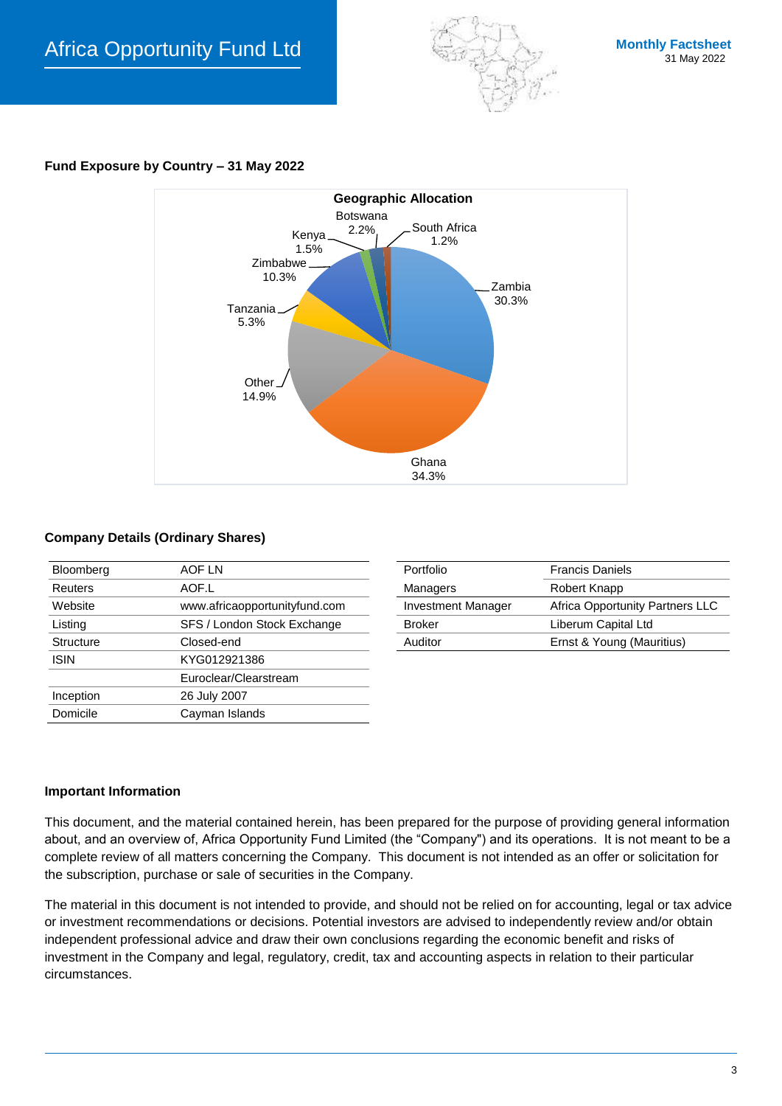

# **Fund Exposure by Country – 31 May 2022**



## **Company Details (Ordinary Shares)**

| Bloomberg        | AOF LN                        | Portfolio                 | <b>Francis Daniels</b>     |
|------------------|-------------------------------|---------------------------|----------------------------|
| <b>Reuters</b>   | AOF.L                         | Managers                  | Robert Knapp               |
| Website          | www.africaopportunityfund.com | <b>Investment Manager</b> | Africa Opportunity Partner |
| Listing          | SFS / London Stock Exchange   | <b>Broker</b>             | Liberum Capital Ltd        |
| <b>Structure</b> | Closed-end                    | Auditor                   | Ernst & Young (Mauritius)  |
| <b>ISIN</b>      | KYG012921386                  |                           |                            |
|                  | Euroclear/Clearstream         |                           |                            |
| Inception        | 26 July 2007                  |                           |                            |
| Domicile         | Cayman Islands                |                           |                            |
|                  |                               |                           |                            |

| Bloomberg | AOF LN                        | Portfolio                 | <b>Francis Daniels</b>          |
|-----------|-------------------------------|---------------------------|---------------------------------|
| Reuters   | AOF.L                         | Managers                  | Robert Knapp                    |
| Website   | www.africaopportunityfund.com | <b>Investment Manager</b> | Africa Opportunity Partners LLC |
| Listing   | SFS / London Stock Exchange   | <b>Broker</b>             | Liberum Capital Ltd             |
| Structure | Closed-end                    | Auditor                   | Ernst & Young (Mauritius)       |
|           |                               |                           |                                 |

### **Important Information**

This document, and the material contained herein, has been prepared for the purpose of providing general information about, and an overview of, Africa Opportunity Fund Limited (the "Company") and its operations. It is not meant to be a complete review of all matters concerning the Company. This document is not intended as an offer or solicitation for the subscription, purchase or sale of securities in the Company.

The material in this document is not intended to provide, and should not be relied on for accounting, legal or tax advice or investment recommendations or decisions. Potential investors are advised to independently review and/or obtain independent professional advice and draw their own conclusions regarding the economic benefit and risks of investment in the Company and legal, regulatory, credit, tax and accounting aspects in relation to their particular circumstances.